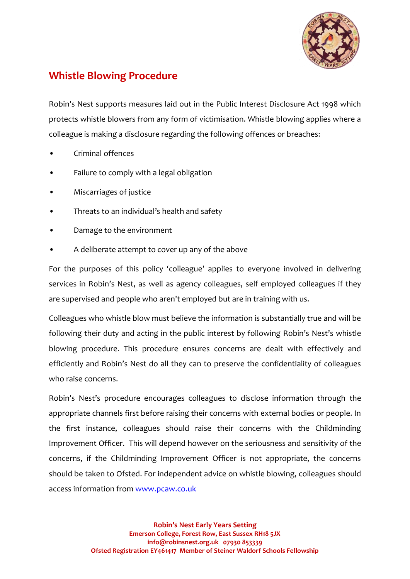

## **Whistle Blowing Procedure**

Robin's Nest supports measures laid out in the Public Interest Disclosure Act 1998 which protects whistle blowers from any form of victimisation. Whistle blowing applies where a colleague is making a disclosure regarding the following offences or breaches:

- Criminal offences
- Failure to comply with a legal obligation
- Miscarriages of justice
- Threats to an individual's health and safety
- Damage to the environment
- A deliberate attempt to cover up any of the above

For the purposes of this policy 'colleague' applies to everyone involved in delivering services in Robin's Nest, as well as agency colleagues, self employed colleagues if they are supervised and people who aren't employed but are in training with us.

Colleagues who whistle blow must believe the information is substantially true and will be following their duty and acting in the public interest by following Robin's Nest's whistle blowing procedure. This procedure ensures concerns are dealt with effectively and efficiently and Robin's Nest do all they can to preserve the confidentiality of colleagues who raise concerns.

Robin's Nest's procedure encourages colleagues to disclose information through the appropriate channels first before raising their concerns with external bodies or people. In the first instance, colleagues should raise their concerns with the Childminding Improvement Officer. This will depend however on the seriousness and sensitivity of the concerns, if the Childminding Improvement Officer is not appropriate, the concerns should be taken to Ofsted. For independent advice on whistle blowing, colleagues should access information from [www.pcaw.co.uk](http://www.pcaw.co.uk/)